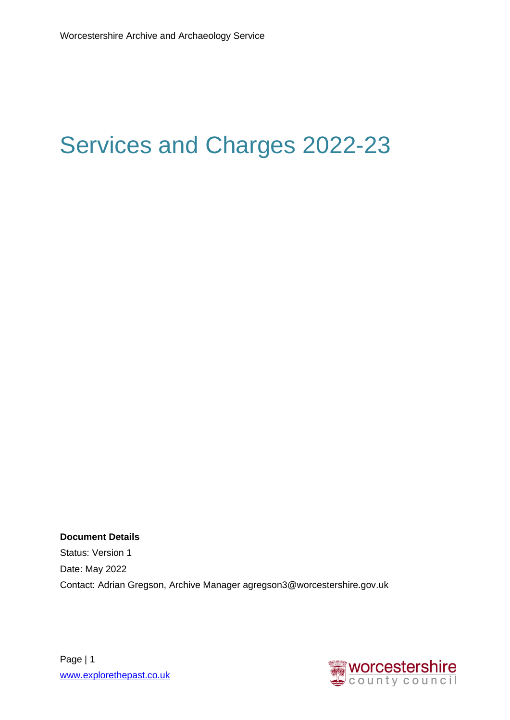# <span id="page-0-0"></span>Services and Charges 2022-23

**Document Details** Status: Version 1 Date: May 2022 Contact: Adrian Gregson, Archive Manager agregson3@worcestershire.gov.uk



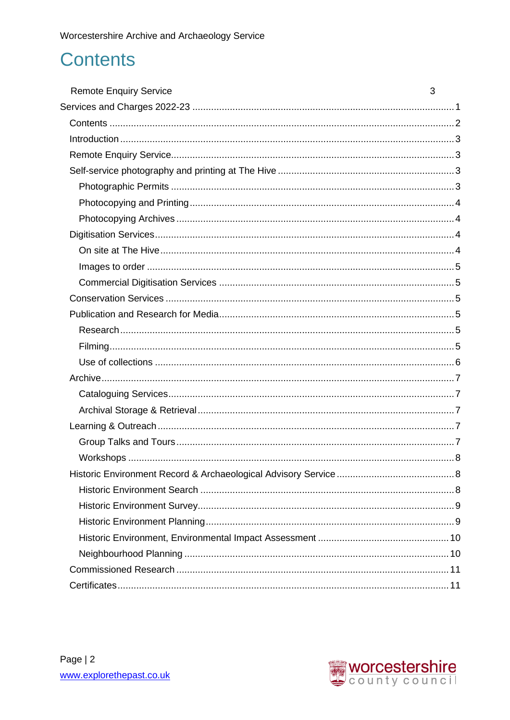### <span id="page-1-0"></span>**Contents**

| <b>Remote Enquiry Service</b> | 3 |
|-------------------------------|---|
|                               |   |
|                               |   |
|                               |   |
|                               |   |
|                               |   |
|                               |   |
|                               |   |
|                               |   |
|                               |   |
|                               |   |
|                               |   |
|                               |   |
|                               |   |
|                               |   |
|                               |   |
|                               |   |
|                               |   |
|                               |   |
|                               |   |
|                               |   |
|                               |   |
|                               |   |
|                               |   |
|                               |   |
|                               |   |
|                               |   |
|                               |   |
|                               |   |
|                               |   |
|                               |   |
|                               |   |

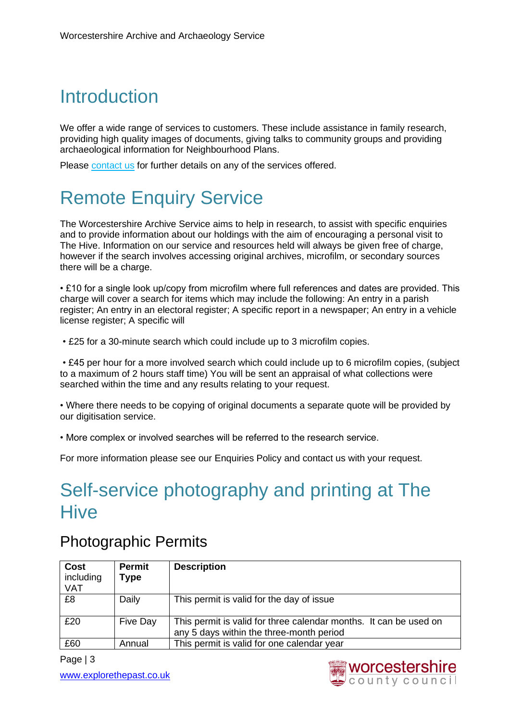# <span id="page-2-0"></span>**Introduction**

We offer a wide range of services to customers. These include assistance in family research, providing high quality images of documents, giving talks to community groups and providing archaeological information for Neighbourhood Plans.

Please [contact us](http://www.worcestershire.gov.uk/info/20257/contact_the_archive_and_archaeology_service) for further details on any of the services offered.

# <span id="page-2-1"></span>Remote Enquiry Service

The Worcestershire Archive Service aims to help in research, to assist with specific enquiries and to provide information about our holdings with the aim of encouraging a personal visit to The Hive. Information on our service and resources held will always be given free of charge, however if the search involves accessing original archives, microfilm, or secondary sources there will be a charge.

• £10 for a single look up/copy from microfilm where full references and dates are provided. This charge will cover a search for items which may include the following: An entry in a parish register; An entry in an electoral register; A specific report in a newspaper; An entry in a vehicle license register; A specific will

• £25 for a 30-minute search which could include up to 3 microfilm copies.

• £45 per hour for a more involved search which could include up to 6 microfilm copies, (subject to a maximum of 2 hours staff time) You will be sent an appraisal of what collections were searched within the time and any results relating to your request.

• Where there needs to be copying of original documents a separate quote will be provided by our digitisation service.

• More complex or involved searches will be referred to the research service.

For more information please see our [Enquiries Policy](http://www.worcestershire.gov.uk/downloads/file/4198/waas_policy_statement_on_answering_enquiries) and [contact us](https://capublic.worcestershire.gov.uk/WAASPublic/EnquiryForm.aspx?ServiceCode=ARCHENQ&_ga=2.90046943.590052623.1495812495-898153893.1481986369) with your request.

### <span id="page-2-2"></span>Self-service photography and printing at The **Hive**

#### <span id="page-2-3"></span>Photographic Permits

| <b>Cost</b><br>including<br><b>VAT</b> | Permit<br>Type | <b>Description</b>                                                                                            |
|----------------------------------------|----------------|---------------------------------------------------------------------------------------------------------------|
| £8                                     | Daily          | This permit is valid for the day of issue                                                                     |
| £20                                    | Five Day       | This permit is valid for three calendar months. It can be used on<br>any 5 days within the three-month period |
| £60                                    | Annual         | This permit is valid for one calendar year                                                                    |

Page | 3 [www.explorethepast.co.uk](http://www.explorethepast.co.uk/) 

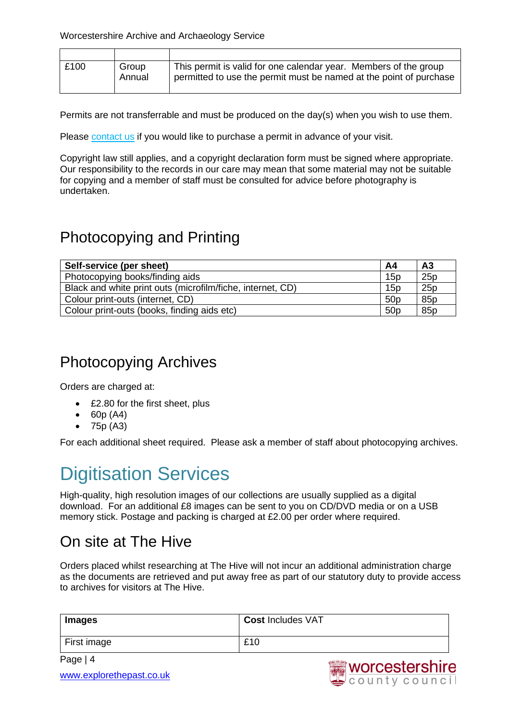| £100 | Group<br>Annual | This permit is valid for one calendar year. Members of the group<br>permitted to use the permit must be named at the point of purchase |
|------|-----------------|----------------------------------------------------------------------------------------------------------------------------------------|
|      |                 |                                                                                                                                        |

Permits are not transferrable and must be produced on the day(s) when you wish to use them.

Please [contact us](https://capublic.worcestershire.gov.uk/WAASPublic/EnquiryForm.aspx?ServiceCode=ARCHENQ&_ga=2.114340807.1593750298.1523017625-847011042.1511540454) if you would like to purchase a permit in advance of your visit.

Copyright law still applies, and a copyright declaration form must be signed where appropriate. Our responsibility to the records in our care may mean that some material may not be suitable for copying and a member of staff must be consulted for advice before photography is undertaken.

#### <span id="page-3-0"></span>Photocopying and Printing

| Self-service (per sheet)                                   | A4              | A <sub>3</sub> |
|------------------------------------------------------------|-----------------|----------------|
| Photocopying books/finding aids                            | 15p             | 25p            |
| Black and white print outs (microfilm/fiche, internet, CD) | 15p             | 25p            |
| Colour print-outs (internet, CD)                           | 50 <sub>p</sub> | 85p            |
| Colour print-outs (books, finding aids etc)                | 50 <sub>p</sub> | 85p            |

#### <span id="page-3-1"></span>Photocopying Archives

Orders are charged at:

- £2.80 for the first sheet, plus
- 60p (A4)
- 75p (A3)

For each additional sheet required. Please ask a member of staff about photocopying archives.

### <span id="page-3-2"></span>Digitisation Services

High-quality, high resolution images of our collections are usually supplied as a digital download. For an additional £8 images can be sent to you on CD/DVD media or on a USB memory stick. Postage and packing is charged at £2.00 per order where required.

#### <span id="page-3-3"></span>On site at The Hive

Orders placed whilst researching at The Hive will not incur an additional administration charge as the documents are retrieved and put away free as part of our statutory duty to provide access to archives for visitors at The Hive.

| Images      | <b>Cost Includes VAT</b> |
|-------------|--------------------------|
| First image | £10                      |

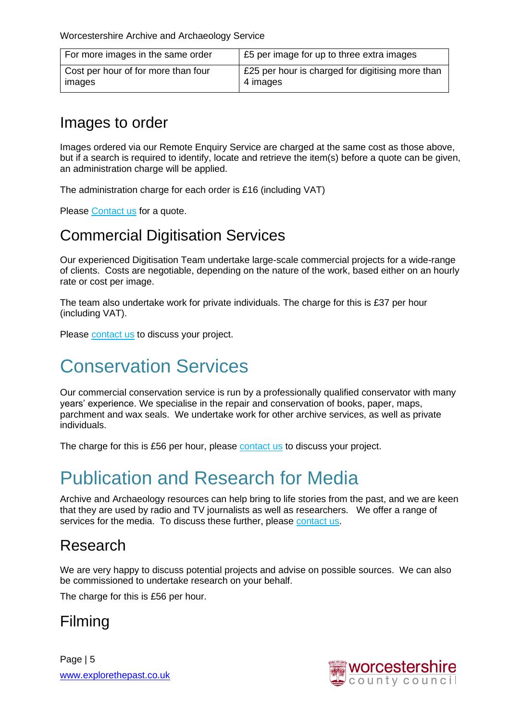| For more images in the same order   | £5 per image for up to three extra images        |
|-------------------------------------|--------------------------------------------------|
| Cost per hour of for more than four | £25 per hour is charged for digitising more than |
| images                              | 4 images                                         |

#### <span id="page-4-0"></span>Images to order

Images ordered via our Remote Enquiry Service are charged at the same cost as those above, but if a search is required to identify, locate and retrieve the item(s) before a quote can be given, an administration charge will be applied.

The administration charge for each order is £16 (including VAT)

Please [Contact us](https://capublic.worcestershire.gov.uk/WAASPublic/EnquiryForm.aspx?ServiceCode=DIGIENQ&_ga=2.48508654.998536354.1495816170-898153893.1481986369) for a quote.

#### <span id="page-4-1"></span>Commercial Digitisation Services

Our experienced Digitisation Team undertake large-scale commercial projects for a wide-range of clients. Costs are negotiable, depending on the nature of the work, based either on an hourly rate or cost per image.

The team also undertake work for private individuals. The charge for this is £37 per hour (including VAT).

Please [contact us](https://capublic.worcestershire.gov.uk/WAASPublic/EnquiryForm.aspx?ServiceCode=DIGIENQ&_ga=2.48508654.998536354.1495816170-898153893.1481986369) to discuss your project.

### <span id="page-4-2"></span>Conservation Services

Our commercial conservation service is run by a professionally qualified conservator with many years' experience. We specialise in the repair and conservation of books, paper, maps, parchment and wax seals. We undertake work for other archive services, as well as private individuals.

The charge for this is £56 per hour, please [contact us](https://capublic.worcestershire.gov.uk/WAASPublic/EnquiryForm.aspx?ServiceCode=CONSERVE&_ga=2.160001919.37418262.1495816611-898153893.1481986369) to discuss your project.

### <span id="page-4-3"></span>Publication and Research for Media

Archive and Archaeology resources can help bring to life stories from the past, and we are keen that they are used by radio and TV journalists as well as researchers. We offer a range of services for the media. To discuss these further, please [contact us.](https://capublic.worcestershire.gov.uk/WAASPublic/EnquiryForm.aspx?ServiceCode=ARCHENQ&_ga=2.90046943.590052623.1495812495-898153893.1481986369)

#### <span id="page-4-4"></span>Research

We are very happy to discuss potential projects and advise on possible sources. We can also be commissioned to undertake research on your behalf.

The charge for this is £56 per hour.

#### <span id="page-4-5"></span>Filming

Page | 5 [www.explorethepast.co.uk](http://www.explorethepast.co.uk/) 

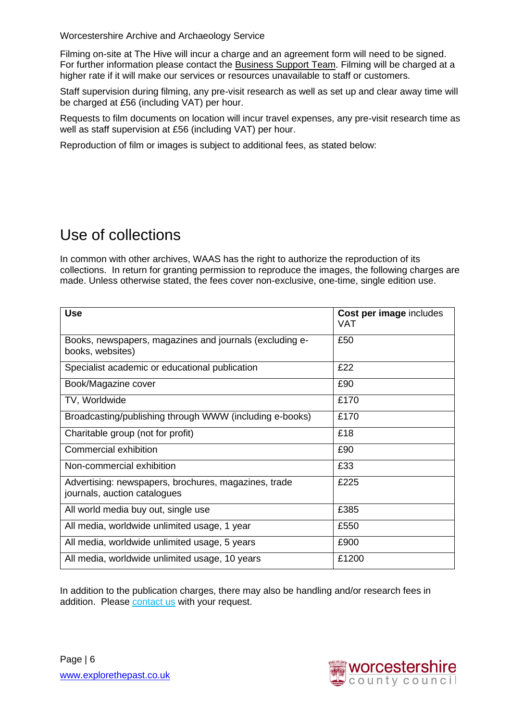Filming on-site at The Hive will incur a charge and an agreement form will need to be signed. For further information please contact the [Business Support Team.](mailto:HiveAdminTeam@worcestershire.gov.uk) Filming will be charged at a higher rate if it will make our services or resources unavailable to staff or customers.

Staff supervision during filming, any pre-visit research as well as set up and clear away time will be charged at £56 (including VAT) per hour.

Requests to film documents on location will incur travel expenses, any pre-visit research time as well as staff supervision at £56 (including VAT) per hour.

Reproduction of film or images is subject to additional fees, as stated below:

#### <span id="page-5-0"></span>Use of collections

In common with other archives, WAAS has the right to authorize the reproduction of its collections. In return for granting permission to reproduce the images, the following charges are made. Unless otherwise stated, the fees cover non-exclusive, one-time, single edition use.

| <b>Use</b>                                                                           | Cost per image includes<br><b>VAT</b> |
|--------------------------------------------------------------------------------------|---------------------------------------|
| Books, newspapers, magazines and journals (excluding e-<br>books, websites)          | £50                                   |
| Specialist academic or educational publication                                       | £22                                   |
| Book/Magazine cover                                                                  | £90                                   |
| TV, Worldwide                                                                        | £170                                  |
| Broadcasting/publishing through WWW (including e-books)                              | £170                                  |
| Charitable group (not for profit)                                                    | £18                                   |
| Commercial exhibition                                                                | £90                                   |
| Non-commercial exhibition                                                            | £33                                   |
| Advertising: newspapers, brochures, magazines, trade<br>journals, auction catalogues | £225                                  |
| All world media buy out, single use                                                  | £385                                  |
| All media, worldwide unlimited usage, 1 year                                         | £550                                  |
| All media, worldwide unlimited usage, 5 years                                        | £900                                  |
| All media, worldwide unlimited usage, 10 years                                       | £1200                                 |

In addition to the publication charges, there may also be handling and/or research fees in addition. Please [contact us](https://capublic.worcestershire.gov.uk/WAASPublic/EnquiryForm.aspx?ServiceCode=ARCHENQ&_ga=2.79936979.513979106.1504109446-354250367.1491414136) with your request.

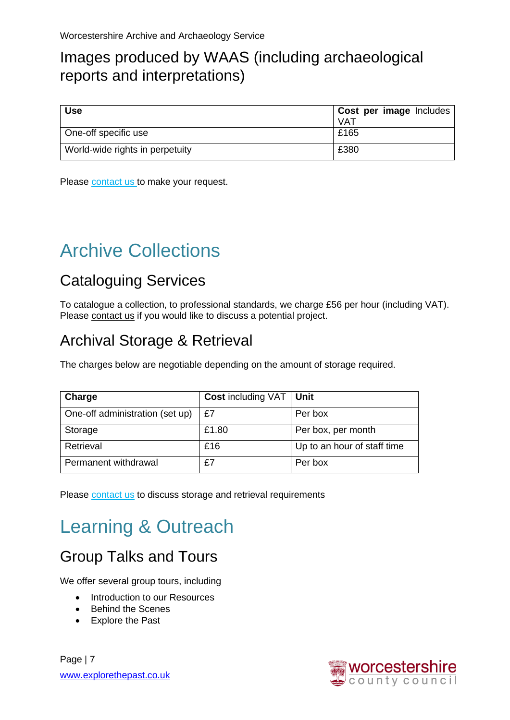#### Images produced by WAAS (including archaeological reports and interpretations)

| <b>Use</b>                      | Cost per image Includes |
|---------------------------------|-------------------------|
|                                 | <b>VAT</b>              |
| One-off specific use            | £165                    |
| World-wide rights in perpetuity | £380                    |

Please [contact us t](mailto:archaeology@worcestershire.gov.uk)o make your request.

# <span id="page-6-0"></span>Archive Collections

#### <span id="page-6-1"></span>Cataloguing Services

To catalogue a collection, to professional standards, we charge £56 per hour (including VAT). Please [contact us](https://capublic.worcestershire.gov.uk/WAASPublic/EnquiryForm.aspx?ServiceCode=ARCHCOLLECT&_ga=2.211609232.420330290.1496496075-1335107517.1493210869) if you would like to discuss a potential project.

#### <span id="page-6-2"></span>Archival Storage & Retrieval

The charges below are negotiable depending on the amount of storage required.

| <b>Charge</b>                   | <b>Cost including VAT   Unit</b> |                             |
|---------------------------------|----------------------------------|-----------------------------|
| One-off administration (set up) | £7                               | Per box                     |
| Storage                         | £1.80                            | Per box, per month          |
| Retrieval                       | £16                              | Up to an hour of staff time |
| Permanent withdrawal            | £7                               | Per box                     |

Please [contact us](https://capublic.worcestershire.gov.uk/WAASPublic/EnquiryForm.aspx?ServiceCode=ARCHCOLLECT&_ga=2.211609232.420330290.1496496075-1335107517.1493210869) to discuss storage and retrieval requirements

# <span id="page-6-3"></span>Learning & Outreach

#### <span id="page-6-4"></span>Group Talks and Tours

We offer several group tours, including

- Introduction to our Resources
- Behind the Scenes
- Explore the Past

Page | 7 [www.explorethepast.co.uk](http://www.explorethepast.co.uk/) 

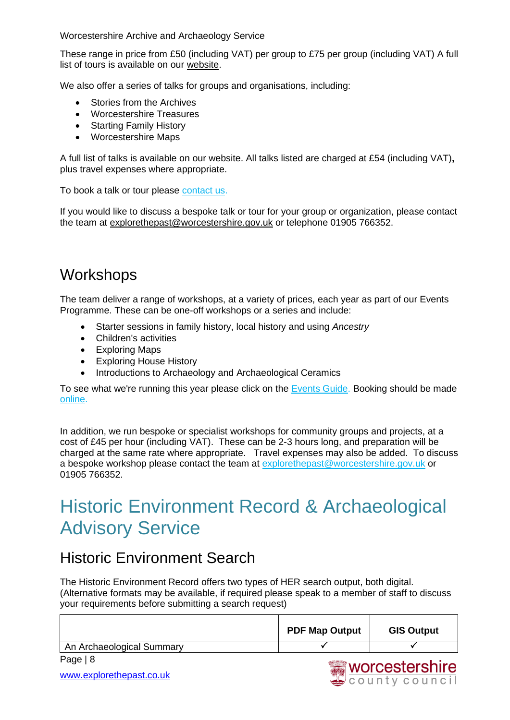These range in price from £50 (including VAT) per group to £75 per group (including VAT) A full list of tours is available on our [website.](http://www.worcestershire.gov.uk/download/downloads/id/5321/group_tours.pdf)

We also offer a series of talks for groups and organisations, including:

- Stories from the Archives
- Worcestershire Treasures
- Starting Family History
- Worcestershire Maps

A full list of talks is available on our website. All talks listed are charged at £54 (including VAT)**,** plus travel expenses where appropriate.

To book a talk or tour please [contact us.](https://capublic.worcestershire.gov.uk/WAASPublic/EnquiryForm.aspx?ServiceCode=TALKTOURENQ&_ga=2.251832204.420330290.1496496075-1335107517.1493210869)

If you would like to discuss a bespoke talk or tour for your group or organization, please contact the team at [explorethepast@worcestershire.gov.uk](mailto:explorethepast@worcestershire.gov.uk) or telephone 01905 766352.

#### <span id="page-7-0"></span>**Workshops**

The team deliver a range of workshops, at a variety of prices, each year as part of our Events Programme. These can be one-off workshops or a series and include:

- Starter sessions in family history, local history and using *Ancestry*
- Children's activities
- Exploring Maps
- Exploring House History
- Introductions to Archaeology and Archaeological Ceramics

To see what we're running this year please click on the [Events Guide.](http://www.worcestershire.gov.uk/downloads/file/4177/events_guide) Booking should be made [online.](http://www.thehiveworcester.org/whats-on)

In addition, we run bespoke or specialist workshops for community groups and projects, at a cost of £45 per hour (including VAT). These can be 2-3 hours long, and preparation will be charged at the same rate where appropriate. Travel expenses may also be added. To discuss a bespoke workshop please contact the team at [explorethepast@worcestershire.gov.uk](mailto:explorethepast@worcestershire.gov.uk) or 01905 766352.

### <span id="page-7-1"></span>Historic Environment Record & Archaeological Advisory Service

#### <span id="page-7-2"></span>Historic Environment Search

The Historic Environment Record offers two types of HER search output, both digital. (Alternative formats may be available, if required please speak to a member of staff to discuss your requirements before submitting a search request)

|                           | <b>PDF Map Output</b> | <b>GIS Output</b>                                                                                                                                                                                                                    |
|---------------------------|-----------------------|--------------------------------------------------------------------------------------------------------------------------------------------------------------------------------------------------------------------------------------|
| An Archaeological Summary |                       |                                                                                                                                                                                                                                      |
| Page $ 8$                 |                       | <u> Altings and the second second second second second second second second second second second second second second second second second second second second second second second second second second second second second s</u> |

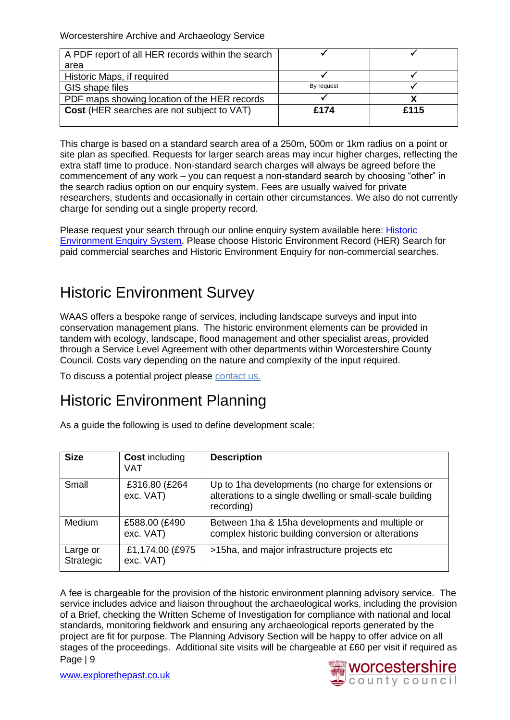| A PDF report of all HER records within the search |            |      |
|---------------------------------------------------|------------|------|
| area                                              |            |      |
| Historic Maps, if required                        |            |      |
| GIS shape files                                   | By request |      |
| PDF maps showing location of the HER records      |            |      |
| Cost (HER searches are not subject to VAT)        | £174       | £115 |
|                                                   |            |      |

This charge is based on a standard search area of a 250m, 500m or 1km radius on a point or site plan as specified. Requests for larger search areas may incur higher charges, reflecting the extra staff time to produce. Non-standard search charges will always be agreed before the commencement of any work – you can request a non-standard search by choosing "other" in the search radius option on our enquiry system. Fees are usually waived for private researchers, students and occasionally in certain other circumstances. We also do not currently charge for sending out a single property record.

Please request your search through our online enquiry system available here: [Historic](https://capublic.worcestershire.gov.uk/WAASPublic/AdvisoryHERServiceList.aspx)  [Environment Enquiry System.](https://capublic.worcestershire.gov.uk/WAASPublic/AdvisoryHERServiceList.aspx) Please choose Historic Environment Record (HER) Search for paid commercial searches and Historic Environment Enquiry for non-commercial searches.

#### <span id="page-8-0"></span>Historic Environment Survey

WAAS offers a bespoke range of services, including landscape surveys and input into conservation management plans. The historic environment elements can be provided in tandem with ecology, landscape, flood management and other specialist areas, provided through a Service Level Agreement with other departments within Worcestershire County Council. Costs vary depending on the nature and complexity of the input required.

To discuss a potential project please [contact us.](https://capublic.worcestershire.gov.uk/WAASPublic/EnquiryForm.aspx?ServiceCode=HEE)

#### <span id="page-8-1"></span>Historic Environment Planning

As a guide the following is used to define development scale:

| <b>Size</b>           | <b>Cost including</b><br>VAT  | <b>Description</b>                                                                                                            |
|-----------------------|-------------------------------|-------------------------------------------------------------------------------------------------------------------------------|
| Small                 | £316.80 (£264<br>exc. VAT)    | Up to 1ha developments (no charge for extensions or<br>alterations to a single dwelling or small-scale building<br>recording) |
| <b>Medium</b>         | £588.00 (£490<br>exc. VAT)    | Between 1ha & 15ha developments and multiple or<br>complex historic building conversion or alterations                        |
| Large or<br>Strategic | £1,174.00 (£975)<br>exc. VAT) | >15ha, and major infrastructure projects etc                                                                                  |

Page | 9 A fee is chargeable for the provision of the historic environment planning advisory service. The service includes advice and liaison throughout the archaeological works, including the provision of a Brief, checking the Written Scheme of Investigation for compliance with national and local standards, monitoring fieldwork and ensuring any archaeological reports generated by the project are fit for purpose. The [Planning Advisory Section](https://capublic.worcestershire.gov.uk/WAASPublic/HistoricEnvironmentPlanning.aspx?Id=&ServiceCode=HEP) will be happy to offer advice on all stages of the proceedings. Additional site visits will be chargeable at £60 per visit if required as

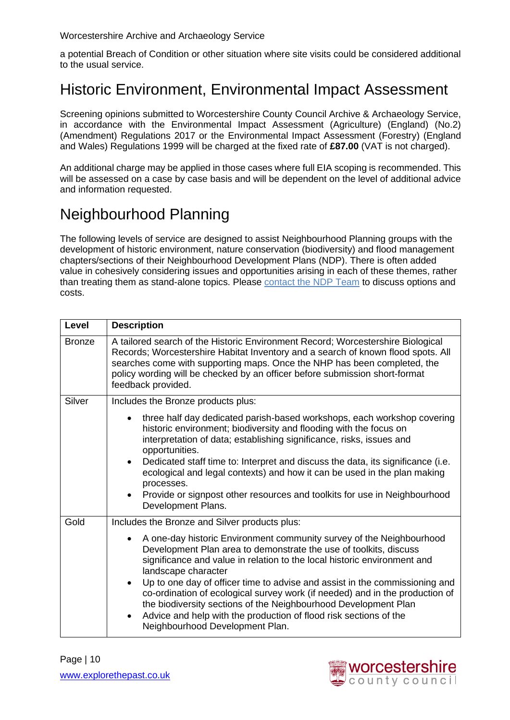a potential Breach of Condition or other situation where site visits could be considered additional to the usual service.

#### <span id="page-9-0"></span>Historic Environment, Environmental Impact Assessment

Screening opinions submitted to Worcestershire County Council Archive & Archaeology Service, in accordance with the Environmental Impact Assessment (Agriculture) (England) (No.2) (Amendment) Regulations 2017 or the Environmental Impact Assessment (Forestry) (England and Wales) Regulations 1999 will be charged at the fixed rate of **£87.00** (VAT is not charged).

An additional charge may be applied in those cases where full EIA scoping is recommended. This will be assessed on a case by case basis and will be dependent on the level of additional advice and information requested.

#### <span id="page-9-1"></span>Neighbourhood Planning

The following levels of service are designed to assist Neighbourhood Planning groups with the development of historic environment, nature conservation (biodiversity) and flood management chapters/sections of their Neighbourhood Development Plans (NDP). There is often added value in cohesively considering issues and opportunities arising in each of these themes, rather than treating them as stand-alone topics. Please [contact the NDP Team](mailto:NHP@worcestershire.gov.uk) to discuss options and costs.

| Level         | <b>Description</b>                                                                                                                                                                                                                                                                                                                                                                                                                                                                                                                                                                                                            |  |  |
|---------------|-------------------------------------------------------------------------------------------------------------------------------------------------------------------------------------------------------------------------------------------------------------------------------------------------------------------------------------------------------------------------------------------------------------------------------------------------------------------------------------------------------------------------------------------------------------------------------------------------------------------------------|--|--|
| <b>Bronze</b> | A tailored search of the Historic Environment Record; Worcestershire Biological<br>Records; Worcestershire Habitat Inventory and a search of known flood spots. All<br>searches come with supporting maps. Once the NHP has been completed, the<br>policy wording will be checked by an officer before submission short-format<br>feedback provided.                                                                                                                                                                                                                                                                          |  |  |
| Silver        | Includes the Bronze products plus:                                                                                                                                                                                                                                                                                                                                                                                                                                                                                                                                                                                            |  |  |
|               | three half day dedicated parish-based workshops, each workshop covering<br>historic environment; biodiversity and flooding with the focus on<br>interpretation of data; establishing significance, risks, issues and<br>opportunities.<br>Dedicated staff time to: Interpret and discuss the data, its significance (i.e.<br>$\bullet$<br>ecological and legal contexts) and how it can be used in the plan making<br>processes.<br>Provide or signpost other resources and toolkits for use in Neighbourhood<br>$\bullet$<br>Development Plans.                                                                              |  |  |
| Gold          | Includes the Bronze and Silver products plus:                                                                                                                                                                                                                                                                                                                                                                                                                                                                                                                                                                                 |  |  |
|               | A one-day historic Environment community survey of the Neighbourhood<br>$\bullet$<br>Development Plan area to demonstrate the use of toolkits, discuss<br>significance and value in relation to the local historic environment and<br>landscape character<br>Up to one day of officer time to advise and assist in the commissioning and<br>$\bullet$<br>co-ordination of ecological survey work (if needed) and in the production of<br>the biodiversity sections of the Neighbourhood Development Plan<br>Advice and help with the production of flood risk sections of the<br>$\bullet$<br>Neighbourhood Development Plan. |  |  |